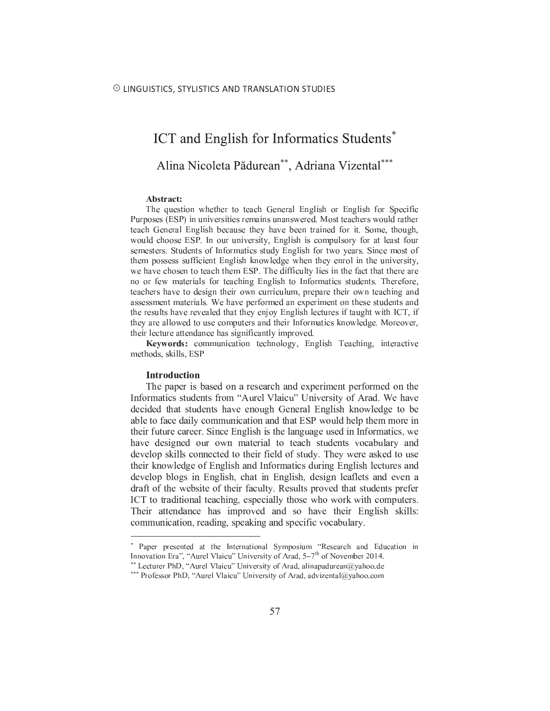## ICT and English for Informatics Students<sup>\*</sup>

### Alina Nicoleta Pădurean\*\*, Adriana Vizental\*\*\*

#### Abstract:

The question whether to teach General English or English for Specific Purposes (ESP) in universities remains unanswered. Most teachers would rather teach General English because they have been trained for it. Some, though, would choose ESP. In our university, English is compulsory for at least four semesters. Students of Informatics study English for two years. Since most of them possess sufficient English knowledge when they enrol in the university, we have chosen to teach them ESP. The difficulty lies in the fact that there are no or few materials for teaching English to Informatics students. Therefore, teachers have to design their own curriculum, prepare their own teaching and assessment materials. We have performed an experiment on these students and the results have revealed that they enjoy English lectures if taught with ICT, if they are allowed to use computers and their Informatics knowledge. Moreover, their lecture attendance has significantly improved.

Keywords: communication technology, English Teaching, interactive methods, skills, ESP

#### **Introduction**

The paper is based on a research and experiment performed on the Informatics students from "Aurel Vlaicu" University of Arad. We have decided that students have enough General English knowledge to be able to face daily communication and that ESP would help them more in their future career. Since English is the language used in Informatics, we have designed our own material to teach students vocabulary and develop skills connected to their field of study. They were asked to use their knowledge of English and Informatics during English lectures and develop blogs in English, chat in English, design leaflets and even a draft of the website of their faculty. Results proved that students prefer ICT to traditional teaching, especially those who work with computers. Their attendance has improved and so have their English skills: communication, reading, speaking and specific vocabulary.

<sup>\*</sup> Paper presented at the International Symposium "Research and Education in Innovation Era", "Aurel Vlaicu" University of Arad, 5-7<sup>th</sup> of November 2014.

<sup>\*\*</sup> Lecturer PhD, "Aurel Vlaicu" University of Arad, alinapadurean@yahoo.de

<sup>\*\*\*</sup> Professor PhD, "Aurel Vlaicu" University of Arad, advizental@yahoo.com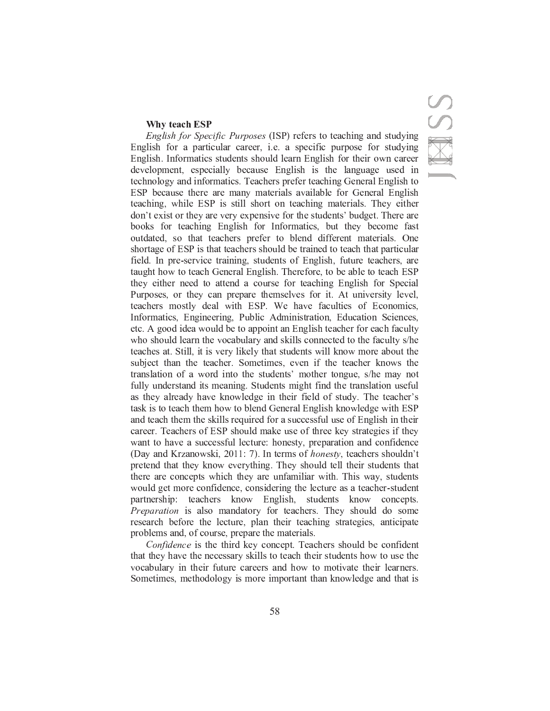#### Why teach ESP

*English for Specific Purposes* (ISP) refers to teaching and studying English for a particular career, i.e. a specific purpose for studying English. Informatics students should learn English for their own career development, especially because English is the language used in technology and informatics. Teachers prefer teaching General English to ESP because there are many materials available for General English teaching, while ESP is still short on teaching materials. They either don't exist or they are very expensive for the students' budget. There are books for teaching English for Informatics, but they become fast outdated, so that teachers prefer to blend different materials. One shortage of ESP is that teachers should be trained to teach that particular field. In pre-service training, students of English, future teachers, are taught how to teach General English. Therefore, to be able to teach ESP they either need to attend a course for teaching English for Special Purposes, or they can prepare themselves for it. At university level, teachers mostly deal with ESP. We have faculties of Economics, Informatics, Engineering, Public Administration, Education Sciences, etc. A good idea would be to appoint an English teacher for each faculty who should learn the vocabulary and skills connected to the faculty s/he teaches at. Still, it is very likely that students will know more about the subject than the teacher. Sometimes, even if the teacher knows the translation of a word into the students' mother tongue, s/he may not fully understand its meaning. Students might find the translation useful as they already have knowledge in their field of study. The teacher's task is to teach them how to blend General English knowledge with ESP and teach them the skills required for a successful use of English in their career. Teachers of ESP should make use of three key strategies if they want to have a successful lecture: honesty, preparation and confidence (Day and Krzanowski, 2011: 7). In terms of honesty, teachers shouldn't pretend that they know everything. They should tell their students that there are concepts which they are unfamiliar with. This way, students would get more confidence, considering the lecture as a teacher-student partnership: teachers know English, students know concepts. Preparation is also mandatory for teachers. They should do some research before the lecture, plan their teaching strategies, anticipate problems and, of course, prepare the materials.

Confidence is the third key concept. Teachers should be confident that they have the necessary skills to teach their students how to use the vocabulary in their future careers and how to motivate their learners. Sometimes, methodology is more important than knowledge and that is

#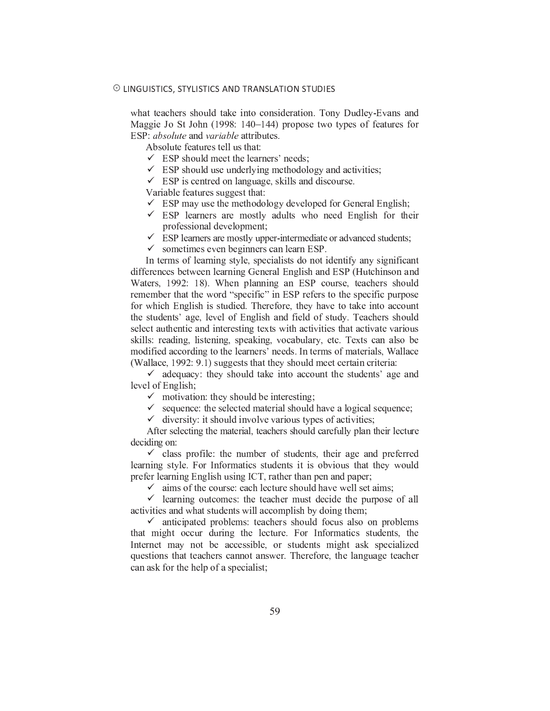#### © LINGUISTICS, STYLISTICS AND TRANSLATION STUDIES

what teachers should take into consideration. Tony Dudley-Evans and Maggie Jo St John (1998:  $140-144$ ) propose two types of features for ESP: *absolute* and *variable* attributes.

Absolute features tell us that:

- $\checkmark$  ESP should meet the learners' needs;
- $\checkmark$  ESP should use underlying methodology and activities;

 $\checkmark$  ESP is centred on language, skills and discourse.

Variable features suggest that:

- $\checkmark$  ESP may use the methodology developed for General English;
- $\checkmark$  ESP learners are mostly adults who need English for their professional development;
- $\checkmark$  ESP learners are mostly upper-intermediate or advanced students;
- $\checkmark$  sometimes even beginners can learn ESP.

In terms of learning style, specialists do not identify any significant differences between learning General English and ESP (Hutchinson and Waters, 1992: 18). When planning an ESP course, teachers should remember that the word "specific" in ESP refers to the specific purpose for which English is studied. Therefore, they have to take into account the students' age, level of English and field of study. Teachers should select authentic and interesting texts with activities that activate various skills: reading, listening, speaking, vocabulary, etc. Texts can also be modified according to the learners' needs. In terms of materials, Wallace (Wallace, 1992: 9.1) suggests that they should meet certain criteria:

 $\checkmark$  adequacy: they should take into account the students' age and level of English;

 $\checkmark$  motivation: they should be interesting;

 $\checkmark$  sequence: the selected material should have a logical sequence;

 $\checkmark$  diversity: it should involve various types of activities;

After selecting the material, teachers should carefully plan their lecture deciding on:

 $\checkmark$  class profile: the number of students, their age and preferred learning style. For Informatics students it is obvious that they would prefer learning English using ICT, rather than pen and paper;

 $\checkmark$  aims of the course: each lecture should have well set aims;

 $\checkmark$  learning outcomes: the teacher must decide the purpose of all activities and what students will accomplish by doing them;

 $\checkmark$  anticipated problems: teachers should focus also on problems that might occur during the lecture. For Informatics students, the Internet may not be accessible, or students might ask specialized questions that teachers cannot answer. Therefore, the language teacher can ask for the help of a specialist;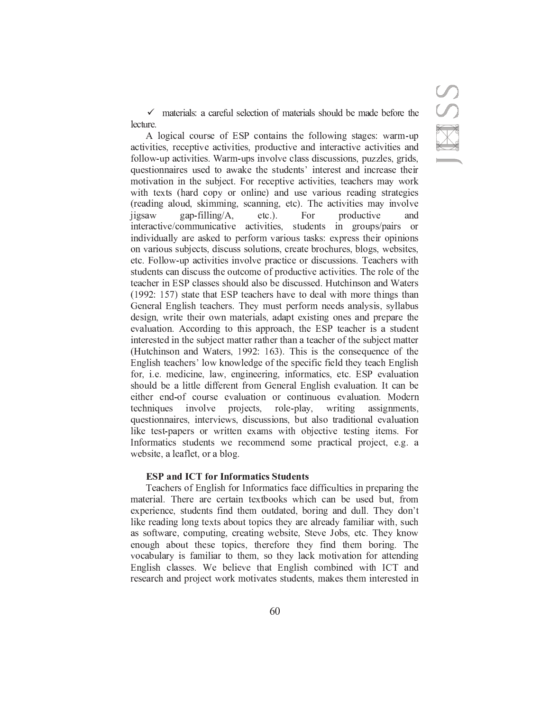$\checkmark$  materials: a careful selection of materials should be made before the lecture.

A logical course of ESP contains the following stages: warm-up activities, receptive activities, productive and interactive activities and follow-up activities. Warm-ups involve class discussions, puzzles, grids, questionnaires used to awake the students' interest and increase their motivation in the subject. For receptive activities, teachers may work with texts (hard copy or online) and use various reading strategies (reading aloud, skimming, scanning, etc). The activities may involve  $i$  y  $i$  gap-filling/A, etc.). For productive and interactive/communicative activities, students in groups/pairs or individually are asked to perform various tasks: express their opinions on various subjects, discuss solutions, create brochures, blogs, websites, etc. Follow-up activities involve practice or discussions. Teachers with students can discuss the outcome of productive activities. The role of the ] <sup>P</sup> <sup>R</sup> <sup>Z</sup> <sup>O</sup> <sup>P</sup> <sup>S</sup> <sup>T</sup> <sup>Y</sup> <sup>|</sup> <sup>Z</sup> { <sup>R</sup> <sup>U</sup> <sup>U</sup> <sup>P</sup> <sup>U</sup> <sup>U</sup> <sup>O</sup> <sup>X</sup> <sup>x</sup> { <sup>W</sup> <sup>R</sup> { <sup>U</sup> <sup>X</sup> <sup>V</sup> <sup>P</sup> <sup>W</sup> <sup>T</sup> <sup>U</sup> <sup>Z</sup> <sup>x</sup> <sup>U</sup> <sup>U</sup> <sup>P</sup> <sup>W</sup> <sup>v</sup> <sup>x</sup> ] <sup>Z</sup> <sup>O</sup> <sup>T</sup> <sup>Y</sup> <sup>U</sup> <sup>X</sup> <sup>Y</sup> <sup>R</sup> <sup>Y</sup> <sup>W</sup> <sup>w</sup> <sup>R</sup> ] <sup>P</sup> <sup>S</sup> <sup>U</sup>  $(1992: 157)$  state that ESP teachers have to deal with more things than General English teachers. They must perform needs analysis, syllabus design, write their own materials, adapt existing ones and prepare the evaluation. According to this approach, the ESP teacher is a student interested in the subject matter rather than a teacher of the subject matter Ú Z O T J DE S O DE S VEN DE LA PRODUCTIVA DE LA PRODUCTIVA DE LA PRODUCTIVA DE LA PRODUCTIVA DE LA PRODUCTIVA English teachers' low knowledge of the specific field they teach Englis for, *i.e.* medicine, law, engineering, informatics, etc. ESP evaluation should be a little different from General English evaluation. It can be either end-of course evaluation or continuous evaluation. Modern techniques involve projects, role-play, writing assignments, questionnaires, interviews, discussions, but also traditional evaluation like test-papers or written exams with objective testing items. For Informatics students we recommend some practical project, e.g. a website, a leaflet, or a blog.

#### **ESP and ICT for Informatics Students**

Teachers of English for Informatics face difficulties in preparing the material. There are certain textbooks which can be used but, from experience, students find them outdated, boring and dull. They don't like reading long texts about topics they are already familiar with, such as software, computing, creating website, Steve Jobs, etc. They know enough about these topics, therefore they find them boring. The vocabulary is familiar to them, so they lack motivation for attending English classes. We believe that English combined with ICT and research and project work motivates students, makes them interested in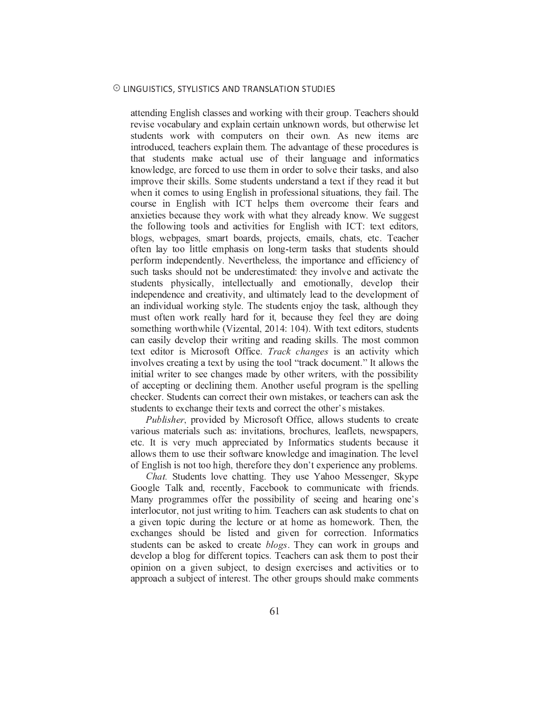#### - -  - -

attending English classes and working with their group. Teachers should revise vocabulary and explain certain unknown words, but otherwise let students work with computers on their own. As new items are introduced, teachers explain them. The advantage of these procedures is that students make actual use of their language and informatics knowledge, are forced to use them in order to solve their tasks, and also improve their skills. Some students understand a text if they read it but when it comes to using English in professional situations, they fail. The course in English with ICT helps them overcome their fears and anxieties because they work with what they already know. We suggest the following tools and activities for English with ICT: text editors, blogs, webpages, smart boards, projects, emails, chats, etc. Teacher often lay too little emphasis on long-term tasks that students should perform independently. Nevertheless, the importance and efficiency of such tasks should not be underestimated: they involve and activate the students physically, intellectually and emotionally, develop their independence and creativity, and ultimately lead to the development of an individual working style. The students enjoy the task, although they must often work really hard for it, because they feel they are doing something worthwhile (Vizental, 2014: 104). With text editors, students can easily develop their writing and reading skills. The most common text editor is Microsoft Office. *Track changes* is an activity which involves creating a text by using the tool "track document." It allows the initial writer to see changes made by other writers, with the possibility of accepting or declining them. Another useful program is the spelling checker. Students can correct their own mistakes, or teachers can ask the students to exchange their texts and correct the other's mistakes.

 $\mathcal{P} = \{ \mathcal{P} \mid \mathcal{P} \mid \mathcal{P} \mid \mathcal{P} \mid \mathcal{P} \mid \mathcal{P} \mid \mathcal{P} \mid \mathcal{P} \mid \mathcal{P} \mid \mathcal{P} \mid \mathcal{P} \mid \mathcal{P} \mid \mathcal{P} \mid \mathcal{P} \mid \mathcal{P} \mid \mathcal{P} \mid \mathcal{P} \mid \mathcal{P} \mid \mathcal{P} \mid \mathcal{P} \mid \mathcal{P} \mid \mathcal{P} \mid \mathcal{P} \mid \mathcal{P} \mid \mathcal{P} \mid \mathcal{P} \mid \mathcal$ various materials such as: invitations, brochures, leaflets, newspapers, etc. It is very much appreciated by Informatics students because it allows them to use their software knowledge and imagination. The level of English is not too high, therefore they don't experience any problems

<sup>ù</sup> <sup>Ð</sup> <sup>ø</sup> <sup>ö</sup> ] <sup>x</sup> <sup>W</sup> <sup>P</sup> <sup>Y</sup> ] <sup>U</sup> { <sup>X</sup> <sup>s</sup> <sup>P</sup> <sup>Z</sup> <sup>O</sup> <sup>R</sup> ] ] <sup>T</sup> <sup>Y</sup> <sup>y</sup> <sup>v</sup> <sup>N</sup> <sup>O</sup> <sup>P</sup> <sup>t</sup> <sup>x</sup> <sup>U</sup> <sup>P</sup> <sup>R</sup> <sup>O</sup> <sup>X</sup> <sup>X</sup> <sup>ü</sup> <sup>P</sup> <sup>U</sup> <sup>U</sup> <sup>P</sup> <sup>Y</sup> <sup>y</sup> <sup>P</sup> <sup>S</sup> } <sup>t</sup> <sup>Q</sup> <sup>P</sup> Google Talk and, recently, Facebook to communicate with friends. Many programmes offer the possibility of seeing and hearing one's interlocutor, not just writing to him. Teachers can ask students to chat on a given topic during the lecture or at home as homework. Then, the exchanges should be listed and given for correction. Informatics <sup>U</sup> ] <sup>x</sup> <sup>W</sup> <sup>P</sup> <sup>Y</sup> ] <sup>U</sup> <sup>Z</sup> <sup>R</sup> <sup>Y</sup> <sup>V</sup> <sup>P</sup> <sup>R</sup> <sup>U</sup> } <sup>P</sup> <sup>W</sup> ] <sup>X</sup> <sup>Z</sup> <sup>S</sup> <sup>P</sup> <sup>R</sup> ] <sup>P</sup> - <sup>Í</sup> <sup>Ò</sup> <sup>Ì</sup> <sup>Ï</sup> <sup>v</sup> <sup>N</sup> <sup>O</sup> <sup>P</sup> <sup>t</sup> <sup>Z</sup> <sup>R</sup> <sup>Y</sup> <sup>~</sup> <sup>X</sup> <sup>S</sup> } <sup>T</sup> <sup>Y</sup> <sup>y</sup> <sup>S</sup> <sup>X</sup> <sup>x</sup> <sup>Q</sup> <sup>U</sup> <sup>R</sup> <sup>Y</sup> <sup>W</sup> develop a blog for different topics. Teachers can ask them to post their opinion on a given subject, to design exercises and activities or to approach a subject of interest. The other groups should make comments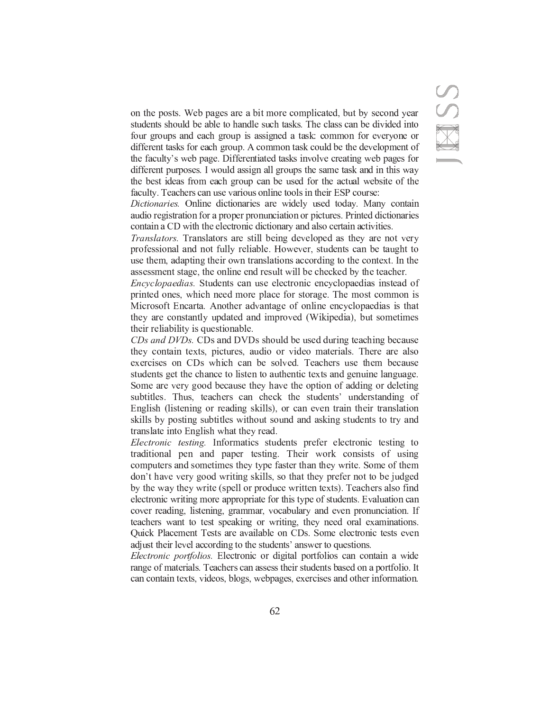on the posts. Web pages are a bit more complicated, but by second year students should be able to handle such tasks. The class can be divided into four groups and each group is assigned a task: common for everyone or different tasks for each group. A common task could be the development of the faculty's web page. Differentiated tasks involve creating web pages for different purposes. I would assign all groups the same task and in this way the best ideas from each group can be used for the actual website of the faculty. Teachers can use various online tools in their ESP course:

*Dictionaries*. Online dictionaries are widely used today. Many contain audio registration for a proper pronunciation or pictures. Printed dictionaries contain a CD with the electronic dictionary and also certain activities.

Translators. Translators are still being developed as they are not very professional and not fully reliable. However, students can be taught to use them, adapting their own translations according to the context. In the assessment stage, the online end result will be checked by the teacher.

*Encyclopaedias.* Students can use electronic encyclopaedias instead of printed ones, which need more place for storage. The most common is Microsoft Encarta. Another advantage of online encyclopaedias is that they are constantly updated and improved (Wikipedia), but sometimes their reliability is questionable.

CDs and DVDs. CDs and DVDs should be used during teaching because they contain texts, pictures, audio or video materials. There are also exercises on CDs which can be solved. Teachers use them because students get the chance to listen to authentic texts and genuine language. Some are very good because they have the option of adding or deleting subtitles. Thus, teachers can check the students' understanding of English (listening or reading skills), or can even train their translation skills by posting subtitles without sound and asking students to try and translate into English what they read.

*Electronic testing.* Informatics students prefer electronic testing to traditional pen and paper testing. Their work consists of using computers and sometimes they type faster than they write. Some of them don't have very good writing skills, so that they prefer not to be judged by the way they write (spell or produce written texts). Teachers also find electronic writing more appropriate for this type of students. Evaluation can cover reading, listening, grammar, vocabulary and even pronunciation. If teachers want to test speaking or writing, they need oral examinations. Quick Placement Tests are available on CDs. Some electronic tests even adjust their level according to the students' answer to questions.

*Electronic portfolios.* Electronic or digital portfolios can contain a wide range of materials. Teachers can assess their students based on a portfolio. It can contain texts, videos, blogs, webpages, exercises and other information.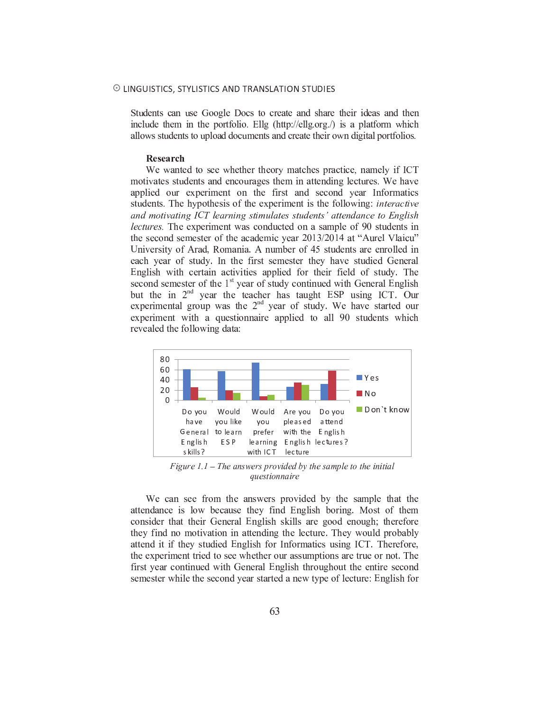#### © LINGUISTICS, STYLISTICS AND TRANSLATION STUDIES

Students can use Google Docs to create and share their ideas and then include them in the portfolio. Ellg (http://ellg.org./) is a platform which allows students to upload documents and create their own digital portfolios.

#### Research

We wanted to see whether theory matches practice, namely if ICT motivates students and encourages them in attending lectures. We have applied our experiment on the first and second year Informatics students. The hypothesis of the experiment is the following: *interactive* and motivating ICT learning stimulates students' attendance to English *lectures*. The experiment was conducted on a sample of 90 students in the second semester of the academic year 2013/2014 at "Aurel Vlaicu" University of Arad, Romania. A number of 45 students are enrolled in each year of study. In the first semester they have studied General English with certain activities applied for their field of study. The second semester of the 1<sup>st</sup> year of study continued with General English but the in  $2<sup>nd</sup>$  year the teacher has taught ESP using ICT. Our experimental group was the 2<sup>nd</sup> year of study. We have started our experiment with a questionnaire applied to all 90 students which revealed the following data:



Figure 1.1 – The answers provided by the sample to the initial questionnaire

We can see from the answers provided by the sample that the attendance is low because they find English boring. Most of them consider that their General English skills are good enough; therefore they find no motivation in attending the lecture. They would probably attend it if they studied English for Informatics using ICT. Therefore, the experiment tried to see whether our assumptions are true or not. The first year continued with General English throughout the entire second semester while the second year started a new type of lecture: English for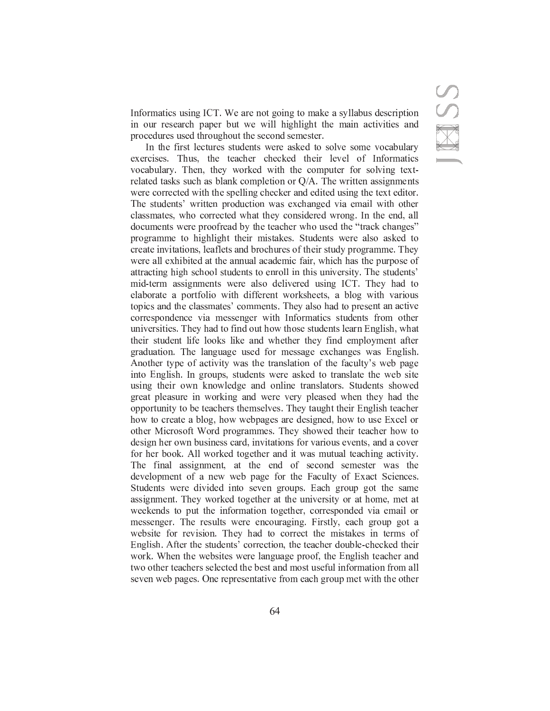Informatics using ICT. We are not going to make a syllabus description in our research paper but we will highlight the main activities and procedures used throughout the second semester.

In the first lectures students were asked to solve some vocabulary exercises. Thus, the teacher checked their level of Informatics vocabulary. Then, they worked with the computer for solving textrelated tasks such as blank completion or  $Q/A$ . The written assignments were corrected with the spelling checker and edited using the text editor. <sup>Û</sup> <sup>W</sup> <sup>X</sup> <sup>Y</sup> <sup>V</sup> <sup>l</sup> ] <sup>X</sup> \ <sup>V</sup> <sup>Y</sup> <sup>Ü</sup> <sup>Ý</sup> \_ <sup>b</sup> <sup>V</sup> <sup>V</sup> <sup>X</sup> \ <sup>Þ</sup> \_ [ ] <sup>l</sup> <sup>Z</sup> <sup>V</sup> <sup>b</sup> [ \ <sup>Ý</sup> <sup>a</sup> <sup>Y</sup> <sup>X</sup> <sup>ß</sup> <sup>Z</sup> <sup>W</sup> <sup>a</sup> \ <sup>à</sup> <sup>X</sup> ] <sup>á</sup> <sup>b</sup> <sup>a</sup> <sup>X</sup> ^ <sup>a</sup> <sup>b</sup> <sup>m</sup> <sup>Ý</sup> <sup>b</sup> <sup>V</sup> <sup>W</sup> [ <sup>V</sup> <sup>W</sup> <sup>X</sup> \_ classmates, who corrected what they considered wrong. In the end, all  $\mathbf{P}$  and  $\mathbf{P}$  and  $\mathbf{P}$  and  $\mathbf{P}$  are  $\mathbf{P}$  and  $\mathbf{P}$  and  $\mathbf{P}$  are  $\mathbf{P}$  and  $\mathbf{P}$  are  $\mathbf{P}$  and  $\mathbf{P}$  are  $\mathbf{P}$  and  $\mathbf{P}$  are  $\mathbf{P}$  and  $\mathbf{P}$  are  $\mathbf{P}$  and  $\mathbf{P}$  are <sup>E</sup> <sup>F</sup> <sup>O</sup> } <sup>F</sup> <sup>L</sup> <sup>H</sup> <sup>H</sup> <sup>C</sup> <sup>J</sup> <sup>O</sup> <sup>B</sup> <sup>G</sup> } <sup>B</sup> <sup>R</sup> <sup>G</sup> } <sup>B</sup> <sup>J</sup> <sup>J</sup> <sup>B</sup> <sup>C</sup> <sup>G</sup> <sup>F</sup> <sup>H</sup> <sup>G</sup> <sup>M</sup> <sup>J</sup> <sup>L</sup> <sup>Ô</sup> <sup>C</sup> <sup>M</sup> <sup>v</sup> <sup>J</sup> <sup>Q</sup> <sup>P</sup> <sup>C</sup> <sup>I</sup> <sup>J</sup> <sup>M</sup> <sup>K</sup> <sup>C</sup> <sup>F</sup> <sup>C</sup> <sup>L</sup> <sup>R</sup> <sup>M</sup> <sup>O</sup> <sup>L</sup> <sup>M</sup> <sup>Ô</sup> <sup>C</sup> <sup>P</sup> <sup>J</sup> <sup>O</sup> create invitations, leaflets and brochures of their study programme. They were all exhibited at the annual academic fair, which has the purpose of . A seu de la componentación de la componentación de la componentación de la componentación de la componentació mid-term assignments were also delivered using ICT. They had to elaborate a portfolio with different worksheets, a blog with various  $V$  b  $V$  and  $V$  and  $V$  are vertex in the  $V$  and  $V$  and  $V$   $\mathcal{N}$   $\mathcal{N}$   $\mathcal{N}$   $\mathcal{N}$   $\mathcal{N}$   $\mathcal{N}$   $\mathcal{N}$   $\mathcal{N}$   $\mathcal{N}$   $\mathcal{N}$   $\mathcal{N}$   $\mathcal{N}$   $\mathcal{N}$   $\mathcal{N}$   $\mathcal{N}$   $\mathcal{N}$   $\mathcal{N}$   $\mathcal$ correspondence via messenger with Informatics students from other <sup>Q</sup> <sup>I</sup> <sup>G</sup> <sup>q</sup> <sup>C</sup> <sup>F</sup> <sup>M</sup> <sup>G</sup> <sup>J</sup> <sup>G</sup> <sup>C</sup> <sup>M</sup> <sup>v</sup> <sup>A</sup> <sup>B</sup> <sup>C</sup> <sup>r</sup> <sup>B</sup> <sup>L</sup> <sup>P</sup> <sup>J</sup> <sup>O</sup> <sup>S</sup> <sup>G</sup> <sup>I</sup> <sup>P</sup> <sup>O</sup> <sup>Q</sup> <sup>J</sup> <sup>B</sup> <sup>O</sup> <sup>K</sup> <sup>J</sup> <sup>B</sup> <sup>O</sup> <sup>M</sup> <sup>C</sup> <sup>M</sup> <sup>J</sup> <sup>Q</sup> <sup>P</sup> <sup>C</sup> <sup>I</sup> <sup>J</sup> <sup>M</sup> <sup>R</sup> <sup>C</sup> <sup>L</sup> <sup>F</sup> <sup>I</sup> <sup>|</sup> <sup>I</sup> } <sup>R</sup> <sup>G</sup> <sup>M</sup> <sup>B</sup> <sup>t</sup> <sup>K</sup> <sup>B</sup> <sup>L</sup> <sup>J</sup> their student life looks like and whether they find employment after } <sup>F</sup> <sup>L</sup> <sup>P</sup> <sup>Q</sup> <sup>L</sup> <sup>J</sup> <sup>G</sup> <sup>O</sup> <sup>I</sup> <sup>v</sup> <sup>A</sup> <sup>B</sup> <sup>C</sup> <sup>R</sup> <sup>L</sup> <sup>I</sup> } <sup>Q</sup> <sup>L</sup> } <sup>C</sup> <sup>Q</sup> <sup>M</sup> <sup>C</sup> <sup>P</sup> <sup>S</sup> <sup>O</sup> <sup>F</sup> <sup>H</sup> <sup>C</sup> <sup>M</sup> <sup>M</sup> <sup>L</sup> } <sup>C</sup> <sup>C</sup> <sup>D</sup> <sup>N</sup> <sup>B</sup> <sup>L</sup> <sup>I</sup> } <sup>C</sup> <sup>M</sup> <sup>K</sup> <sup>L</sup> <sup>M</sup> <sup>|</sup> <sup>I</sup> } <sup>R</sup> <sup>G</sup> <sup>M</sup> <sup>B</sup> <sup>v</sup> Another type of activity was the translation of the faculty's web page <sup>G</sup> <sup>I</sup> <sup>J</sup> <sup>O</sup> <sup>|</sup> <sup>I</sup> } <sup>R</sup> <sup>G</sup> <sup>M</sup> <sup>B</sup> <sup>v</sup> <sup>z</sup> <sup>I</sup> } <sup>F</sup> <sup>O</sup> <sup>Q</sup> <sup>E</sup> <sup>M</sup> <sup>t</sup> <sup>M</sup> <sup>J</sup> <sup>Q</sup> <sup>P</sup> <sup>C</sup> <sup>I</sup> <sup>J</sup> <sup>M</sup> <sup>K</sup> <sup>C</sup> <sup>F</sup> <sup>C</sup> <sup>L</sup> <sup>M</sup> <sup>Ô</sup> <sup>C</sup> <sup>P</sup> <sup>J</sup> <sup>O</sup> <sup>J</sup> <sup>F</sup> <sup>L</sup> <sup>I</sup> <sup>M</sup> <sup>R</sup> <sup>L</sup> <sup>J</sup> <sup>C</sup> <sup>J</sup> <sup>B</sup> <sup>C</sup> <sup>K</sup> <sup>C</sup> <sup>w</sup> <sup>M</sup> <sup>G</sup> <sup>J</sup> <sup>C</sup>  $\mathcal{M} = \mathcal{M} = \mathcal{M} = \mathcal{M} = \mathcal{M} = \mathcal{M} = \mathcal{M} = \mathcal{M} = \mathcal{M} = \mathcal{M} = \mathcal{M} = \mathcal{M} = \mathcal{M} = \mathcal{M} = \mathcal{M} = \mathcal{M} = \mathcal{M} = \mathcal{M} = \mathcal{M} = \mathcal{M} = \mathcal{M} = \mathcal{M} = \mathcal{M} = \mathcal{M} = \mathcal{M} = \mathcal{M} = \mathcal{M} = \mathcal{M} = \mathcal{M} = \mathcal{M} = \mathcal{M} = \mathcal$ great pleasure in working and were very pleased when they had the <sup>O</sup> <sup>E</sup> <sup>E</sup> <sup>O</sup> <sup>F</sup> <sup>J</sup> <sup>Q</sup> <sup>I</sup> <sup>G</sup> <sup>J</sup> <sup>r</sup> <sup>J</sup> <sup>O</sup> <sup>w</sup> <sup>C</sup> <sup>J</sup> <sup>C</sup> <sup>L</sup> <sup>N</sup> <sup>B</sup> <sup>C</sup> <sup>F</sup> <sup>M</sup> <sup>J</sup> <sup>B</sup> <sup>C</sup> <sup>H</sup> <sup>M</sup> <sup>C</sup> <sup>R</sup> <sup>q</sup> <sup>C</sup> <sup>M</sup> <sup>v</sup> <sup>A</sup> <sup>B</sup> <sup>C</sup> <sup>r</sup> <sup>J</sup> <sup>L</sup> <sup>Q</sup> } <sup>B</sup> <sup>J</sup> <sup>J</sup> <sup>B</sup> <sup>C</sup> <sup>G</sup> <sup>F</sup> <sup>|</sup> <sup>I</sup> } <sup>R</sup> <sup>G</sup> <sup>M</sup> <sup>B</sup> <sup>J</sup> <sup>C</sup> <sup>L</sup> <sup>N</sup> <sup>B</sup> <sup>C</sup> <sup>F</sup> <sup>B</sup> <sup>O</sup> <sup>K</sup> <sup>J</sup> <sup>O</sup> <sup>N</sup> <sup>F</sup> <sup>C</sup> <sup>L</sup> <sup>J</sup> <sup>C</sup> <sup>L</sup> <sup>w</sup> <sup>R</sup> <sup>O</sup> } <sup>t</sup> <sup>B</sup> <sup>O</sup> <sup>K</sup> <sup>K</sup> <sup>C</sup> <sup>w</sup> <sup>E</sup> <sup>L</sup> } <sup>C</sup> <sup>M</sup> <sup>L</sup> <sup>F</sup> <sup>C</sup> <sup>P</sup> <sup>C</sup> <sup>M</sup> <sup>G</sup> } <sup>I</sup> <sup>C</sup> <sup>P</sup> <sup>t</sup> <sup>B</sup> <sup>O</sup> <sup>K</sup> <sup>J</sup> <sup>O</sup> <sup>Q</sup> <sup>M</sup> <sup>C</sup> <sup>|</sup> <sup>D</sup> <sup>N</sup> <sup>C</sup> <sup>R</sup> <sup>O</sup> <sup>F</sup> other Microsoft Word programmes. They showed their teacher how to design her own business card, invitations for various events, and a cover for her book. All worked together and it was mutual teaching activity. The final assignment, at the end of second semester was the <sup>P</sup> <sup>C</sup> <sup>q</sup> <sup>C</sup> <sup>R</sup> <sup>O</sup> <sup>E</sup> <sup>H</sup> <sup>C</sup> <sup>I</sup> <sup>J</sup> <sup>O</sup> <sup>S</sup> <sup>L</sup> <sup>I</sup> <sup>C</sup> <sup>K</sup> <sup>K</sup> <sup>C</sup> <sup>w</sup> <sup>E</sup> <sup>L</sup> } <sup>C</sup> <sup>S</sup> <sup>O</sup> <sup>F</sup> <sup>J</sup> <sup>B</sup> <sup>C</sup> <sup>å</sup> <sup>L</sup> <sup>N</sup> <sup>Q</sup> <sup>R</sup> <sup>J</sup> <sup>r</sup> <sup>O</sup> <sup>S</sup> <sup>|</sup> <sup>D</sup> <sup>L</sup> <sup>N</sup> <sup>J</sup> <sup>N</sup> <sup>G</sup> <sup>C</sup> <sup>I</sup> <sup>N</sup> <sup>C</sup> <sup>M</sup> <sup>v</sup> <sup>J</sup> <sup>Q</sup> <sup>P</sup> <sup>C</sup> <sup>I</sup> <sup>J</sup> <sup>M</sup> <sup>K</sup> <sup>C</sup> <sup>F</sup> <sup>C</sup> <sup>P</sup> <sup>G</sup> <sup>q</sup> <sup>G</sup> <sup>P</sup> <sup>C</sup> <sup>P</sup> <sup>G</sup> <sup>I</sup> <sup>J</sup> <sup>O</sup> <sup>M</sup> <sup>C</sup> <sup>q</sup> <sup>C</sup> <sup>I</sup> } <sup>F</sup> <sup>O</sup> <sup>Q</sup> <sup>E</sup> <sup>M</sup> <sup>v</sup> <sup>|</sup> <sup>L</sup> <sup>N</sup> <sup>B</sup> } <sup>F</sup> <sup>O</sup> <sup>Q</sup> <sup>E</sup> } <sup>O</sup> <sup>J</sup> <sup>J</sup> <sup>B</sup> <sup>C</sup> <sup>M</sup> <sup>L</sup> <sup>H</sup> <sup>C</sup> assignment. They worked together at the university or at home, met at weekends to put the information together, corresponded via email or messenger. The results were encouraging. Firstly, each group got a website for revision. They had to correct the mistakes in terms of æ 1914 i Andre 1915 i 1926 i 1927 i 1928 i 1929 i 1929 i 1929 i 1929 i 1929 i 1929 i 1929 i 1929 i 1929 i 1929 <sup>K</sup> <sup>O</sup> <sup>F</sup> <sup>Ô</sup> <sup>v</sup> <sup>B</sup> <sup>C</sup> <sup>I</sup> <sup>J</sup> <sup>B</sup> <sup>C</sup> <sup>K</sup> <sup>C</sup> <sup>w</sup> <sup>M</sup> <sup>G</sup> <sup>J</sup> <sup>C</sup> <sup>M</sup> <sup>K</sup> <sup>C</sup> <sup>F</sup> <sup>C</sup> <sup>R</sup> <sup>L</sup> <sup>I</sup> } <sup>Q</sup> <sup>L</sup> } <sup>C</sup> <sup>E</sup> <sup>F</sup> <sup>O</sup> <sup>O</sup> <sup>S</sup> <sup>t</sup> <sup>J</sup> <sup>B</sup> <sup>C</sup> <sup>|</sup> <sup>I</sup> } <sup>R</sup> <sup>G</sup> <sup>M</sup> <sup>B</sup> <sup>J</sup> <sup>C</sup> <sup>L</sup> <sup>N</sup> <sup>B</sup> <sup>C</sup> <sup>F</sup> <sup>L</sup> <sup>I</sup> <sup>P</sup> two other teachers selected the best and most useful information from all seven web pages. One representative from each group met with the other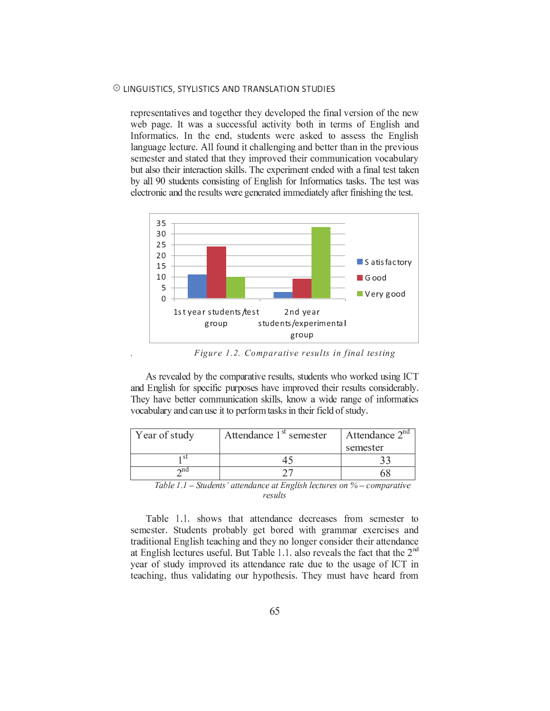#### $\odot$  LINGUISTICS, STYLISTICS AND TRANSLATION STUDIES

representatives and together they developed the final version of the new <sup>K</sup> <sup>C</sup> <sup>w</sup> <sup>E</sup> <sup>L</sup> } <sup>C</sup> <sup>v</sup> <sup>z</sup> <sup>J</sup> <sup>K</sup> <sup>L</sup> <sup>M</sup> <sup>L</sup> <sup>M</sup> <sup>Q</sup> <sup>N</sup> <sup>N</sup> <sup>C</sup> <sup>M</sup> <sup>M</sup> <sup>S</sup> <sup>Q</sup> <sup>R</sup> <sup>L</sup> <sup>N</sup> <sup>J</sup> <sup>G</sup> <sup>q</sup> <sup>G</sup> <sup>J</sup> <sup>r</sup> <sup>w</sup> <sup>O</sup> <sup>J</sup> <sup>B</sup> <sup>G</sup> <sup>I</sup> <sup>J</sup> <sup>C</sup> <sup>F</sup> <sup>H</sup> <sup>M</sup> <sup>O</sup> <sup>S</sup> <sup>|</sup> <sup>I</sup> } <sup>R</sup> <sup>G</sup> <sup>M</sup> <sup>B</sup> <sup>L</sup> <sup>I</sup> <sup>P</sup> <sup>z</sup> <sup>I</sup> <sup>S</sup> <sup>O</sup> <sup>F</sup> <sup>H</sup> <sup>L</sup> <sup>J</sup> <sup>G</sup> <sup>N</sup> <sup>M</sup> <sup>v</sup> <sup>z</sup> <sup>I</sup> <sup>J</sup> <sup>B</sup> <sup>C</sup> <sup>C</sup> <sup>I</sup> <sup>P</sup> <sup>t</sup> <sup>M</sup> <sup>J</sup> <sup>Q</sup> <sup>P</sup> <sup>C</sup> <sup>I</sup> <sup>J</sup> <sup>M</sup> <sup>K</sup> <sup>C</sup> <sup>F</sup> <sup>C</sup> <sup>L</sup> <sup>M</sup> <sup>Ô</sup> <sup>C</sup> <sup>P</sup> <sup>J</sup> <sup>O</sup> <sup>L</sup> <sup>M</sup> <sup>M</sup> <sup>C</sup> <sup>M</sup> <sup>M</sup> <sup>J</sup> <sup>B</sup> <sup>C</sup> <sup>|</sup> <sup>I</sup> } <sup>R</sup> <sup>G</sup> <sup>M</sup> <sup>B</sup> language lecture. All found it challenging and better than in the previous semester and stated that they improved their communication vocabulary but also their interaction skills. The experiment ended with a final test taken <sup>w</sup> <sup>r</sup> <sup>L</sup> <sup>R</sup> <sup>R</sup> <sup>T</sup> <sup>U</sup> <sup>M</sup> <sup>J</sup> <sup>Q</sup> <sup>P</sup> <sup>C</sup> <sup>I</sup> <sup>J</sup> <sup>M</sup> <sup>N</sup> <sup>O</sup> <sup>I</sup> <sup>M</sup> <sup>G</sup> <sup>M</sup> <sup>J</sup> G I } <sup>O</sup> <sup>S</sup> <sup>|</sup> <sup>I</sup> } <sup>R</sup> <sup>G</sup> <sup>M</sup> <sup>B</sup> <sup>S</sup> <sup>O</sup> <sup>F</sup> <sup>z</sup> <sup>I</sup> <sup>S</sup> <sup>O</sup> <sup>F</sup> <sup>H</sup> <sup>L</sup> <sup>J</sup> <sup>G</sup> <sup>N</sup> <sup>M</sup> <sup>J</sup> <sup>L</sup> <sup>M</sup> <sup>Ô</sup> <sup>M</sup> <sup>v</sup> <sup>A</sup> <sup>B</sup> <sup>C</sup> <sup>J</sup> <sup>C</sup> <sup>M</sup> <sup>J</sup> <sup>K</sup> <sup>L</sup> <sup>M</sup> electronic and the results were generated immediately after finishing the test.



Figure 1.2. Comparative results in final testing

As revealed by the comparative results, students who worked using ICT <sup>L</sup> <sup>I</sup> <sup>P</sup> <sup>|</sup> <sup>I</sup> } <sup>R</sup> <sup>G</sup> <sup>M</sup> <sup>B</sup> <sup>S</sup> <sup>O</sup> <sup>F</sup> <sup>M</sup> <sup>E</sup> <sup>C</sup> <sup>N</sup> <sup>G</sup> <sup>S</sup> <sup>G</sup> <sup>N</sup> <sup>E</sup> <sup>Q</sup> <sup>F</sup> <sup>E</sup> <sup>O</sup> <sup>M</sup> <sup>C</sup> <sup>M</sup> <sup>B</sup> <sup>L</sup> <sup>q</sup> <sup>C</sup> G H <sup>E</sup> <sup>F</sup> <sup>O</sup> <sup>q</sup> <sup>C</sup> <sup>P</sup> <sup>J</sup> <sup>B</sup> <sup>C</sup> G F <sup>F</sup> <sup>C</sup> <sup>M</sup> <sup>Q</sup> R J <sup>M</sup> <sup>N</sup> <sup>O</sup> <sup>I</sup> <sup>M</sup> <sup>G</sup> <sup>P</sup> <sup>C</sup> <sup>F</sup> <sup>L</sup> <sup>w</sup> R r <sup>v</sup> They have better communication skills, know a wide range of informatics vocabulary and can use it to perform tasks in their field of study.

| Year of study | Attendance $1st$ semester | Attendance $2nd$ |
|---------------|---------------------------|------------------|
|               |                           | semester         |
|               |                           |                  |
|               |                           |                  |

Table 1.1 – Students' attendance at English lectures on  $%$  – comparative results

Table 1.1, shows that attendance decreases from semester to <sup>M</sup> <sup>C</sup> <sup>H</sup> <sup>C</sup> <sup>M</sup> <sup>J</sup> <sup>C</sup> <sup>F</sup> <sup>v</sup> <sup>J</sup> <sup>Q</sup> <sup>P</sup> <sup>C</sup> <sup>I</sup> <sup>J</sup> <sup>M</sup> <sup>E</sup> <sup>F</sup> <sup>O</sup> <sup>w</sup> <sup>L</sup> <sup>w</sup> <sup>R</sup> <sup>r</sup> } <sup>C</sup> <sup>J</sup> <sup>w</sup> <sup>O</sup> <sup>F</sup> <sup>C</sup> <sup>P</sup> <sup>K</sup> <sup>G</sup> <sup>J</sup> <sup>B</sup> } <sup>F</sup> <sup>L</sup> <sup>H</sup> <sup>H</sup> <sup>L</sup> <sup>F</sup> <sup>C</sup> <sup>D</sup> <sup>C</sup> <sup>F</sup> <sup>N</sup> <sup>G</sup> <sup>M</sup> <sup>C</sup> <sup>M</sup> <sup>L</sup> <sup>I</sup> <sup>P</sup> <sup>J</sup> <sup>F</sup> <sup>L</sup> <sup>P</sup> <sup>G</sup> <sup>J</sup> <sup>G</sup> <sup>O</sup> <sup>I</sup> <sup>L</sup> <sup>R</sup> <sup>|</sup> <sup>I</sup> } <sup>R</sup> <sup>G</sup> <sup>M</sup> <sup>B</sup> <sup>J</sup> <sup>C</sup> <sup>L</sup> <sup>N</sup> <sup>B</sup> <sup>G</sup> <sup>I</sup> } <sup>L</sup> <sup>I</sup> <sup>P</sup> <sup>J</sup> <sup>B</sup> <sup>C</sup> <sup>r</sup> <sup>I</sup> <sup>O</sup> <sup>R</sup> <sup>O</sup> <sup>I</sup> } <sup>C</sup> <sup>F</sup> <sup>N</sup> <sup>O</sup> <sup>I</sup> <sup>M</sup> <sup>G</sup> <sup>P</sup> <sup>C</sup> <sup>F</sup> <sup>J</sup> <sup>B</sup> <sup>C</sup> <sup>G</sup> <sup>F</sup> <sup>L</sup> <sup>J</sup> <sup>J</sup> <sup>C</sup> <sup>I</sup> <sup>P</sup> <sup>L</sup> <sup>I</sup> <sup>N</sup> <sup>C</sup> <sup>L</sup> <sup>J</sup> <sup>|</sup> <sup>I</sup> } <sup>R</sup> <sup>G</sup> <sup>M</sup> <sup>B</sup> <sup>R</sup> <sup>C</sup> <sup>N</sup> <sup>J</sup> <sup>Q</sup> <sup>F</sup> <sup>C</sup> <sup>M</sup> <sup>Q</sup> <sup>M</sup> <sup>C</sup> <sup>S</sup> <sup>Q</sup> <sup>R</sup> <sup>v</sup> <sup>A</sup> <sup>Q</sup> <sup>J</sup> <sup>A</sup> <sup>L</sup> <sup>w</sup> <sup>R</sup> <sup>C</sup> <sup>~</sup> <sup>v</sup> <sup>~</sup> <sup>v</sup> <sup>L</sup> <sup>R</sup> <sup>M</sup> <sup>O</sup> <sup>F</sup> <sup>C</sup> <sup>q</sup> <sup>C</sup> <sup>L</sup> <sup>R</sup> <sup>M</sup> <sup>J</sup> <sup>B</sup> <sup>C</sup> <sup>S</sup> <sup>L</sup> <sup>N</sup> <sup>J</sup> <sup>J</sup> <sup>B</sup> <sup>L</sup> <sup>J</sup> <sup>J</sup> <sup>B</sup> <sup>C</sup> year of study improved its attendance rate due to the usage of ICT in teaching, thus validating our hypothesis. They must have heard from